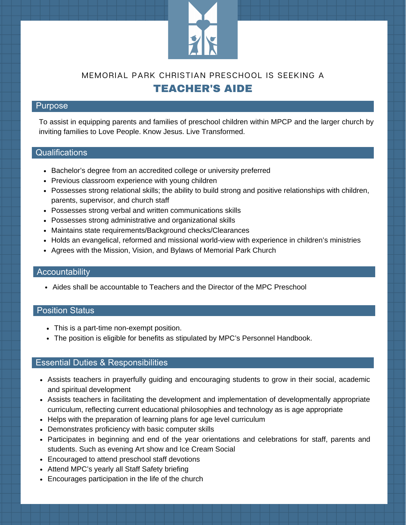

# TEACHER'S AIDE MEMORIAL PARK CHRISTIAN PRESCHOOL IS SEEKING A

## Purpose

To assist in equipping parents and families of preschool children within MPCP and the larger church by inviting families to Love People. Know Jesus. Live Transformed.

## Qualifications

- Bachelor's degree from an accredited college or university preferred
- Previous classroom experience with young children
- Possesses strong relational skills; the ability to build strong and positive relationships with children, parents, supervisor, and church staff
- Possesses strong verbal and written communications skills
- Possesses strong administrative and organizational skills
- Maintains state requirements/Background checks/Clearances
- Holds an evangelical, reformed and missional world-view with experience in children's ministries
- Agrees with the Mission, Vision, and Bylaws of Memorial Park Church

#### **Accountability**

• Aides shall be accountable to Teachers and the Director of the MPC Preschool

## Position Status

- This is a part-time non-exempt position.
- The position is eligible for benefits as stipulated by MPC's Personnel Handbook.

## Essential Duties & Responsibilities

- Assists teachers in prayerfully guiding and encouraging students to grow in their social, academic and spiritual development
- Assists teachers in facilitating the development and implementation of developmentally appropriate curriculum, reflecting current educational philosophies and technology as is age appropriate
- Helps with the preparation of learning plans for age level curriculum
- Demonstrates proficiency with basic computer skills
- Participates in beginning and end of the year orientations and celebrations for staff, parents and students. Such as evening Art show and Ice Cream Social
- Encouraged to attend preschool staff devotions
- Attend MPC's yearly all Staff Safety briefing
- Encourages participation in the life of the church